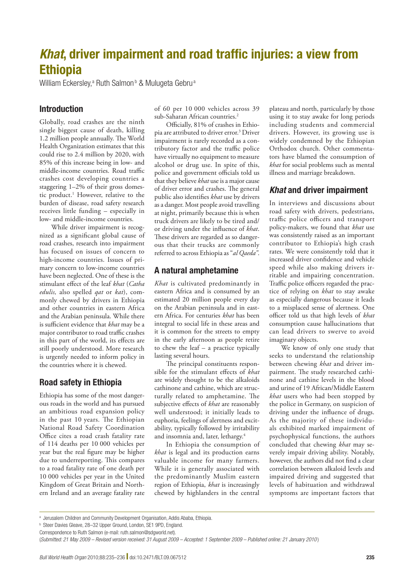# *Khat*, driver impairment and road traffic injuries: a view from **Ethiopia**

William Eckersley,<sup>a</sup> Ruth Salmon<sup>b</sup> & Mulugeta Gebru<sup>a</sup>

#### Introduction

Globally, road crashes are the ninth single biggest cause of death, killing 1.2 million people annually. The World Health Organization estimates that this could rise to 2.4 million by 2020, with 85% of this increase being in low- and middle-income countries. Road traffic crashes cost developing countries a staggering 1–2% of their gross domestic product.<sup>1</sup> However, relative to the burden of disease, road safety research receives little funding – especially in low- and middle-income countries.

While driver impairment is recognized as a significant global cause of road crashes, research into impairment has focused on issues of concern to high-income countries. Issues of primary concern to low-income countries have been neglected. One of these is the stimulant effect of the leaf *khat* (*Catha edulis,* also spelled *qat* or *kat*), commonly chewed by drivers in Ethiopia and other countries in eastern Africa and the Arabian peninsula. While there is sufficient evidence that *khat* may be a major contributor to road traffic crashes in this part of the world, its effects are still poorly understood. More research is urgently needed to inform policy in the countries where it is chewed.

#### Road safety in Ethiopia

Ethiopia has some of the most dangerous roads in the world and has pursued an ambitious road expansion policy in the past 10 years. The Ethiopian National Road Safety Coordination Office cites a road crash fatality rate of 114 deaths per 10 000 vehicles per year but the real figure may be higher due to underreporting. This compares to a road fatality rate of one death per 10 000 vehicles per year in the United Kingdom of Great Britain and Northern Ireland and an average fatality rate

of 60 per 10 000 vehicles across 39 sub-Saharan African countries.<sup>2</sup>

Officially, 81% of crashes in Ethiopia are attributed to driver error.3 Driver impairment is rarely recorded as a contributory factor and the traffic police have virtually no equipment to measure alcohol or drug use. In spite of this, police and government officials told us that they believe *khat* use is a major cause of driver error and crashes. The general public also identifies *khat* use by drivers as a danger. Most people avoid travelling at night, primarily because this is when truck drivers are likely to be tired and/ or driving under the influence of *khat*. These drivers are regarded as so dangerous that their trucks are commonly referred to across Ethiopia as "*al Qaeda"*.

## A natural amphetamine

*Khat* is cultivated predominantly in eastern Africa and is consumed by an estimated 20 million people every day on the Arabian peninsula and in eastern Africa. For centuries *khat* has been integral to social life in these areas and it is common for the streets to empty in the early afternoon as people retire to chew the leaf – a practice typically lasting several hours.

The principal constituents responsible for the stimulant effects of *khat* are widely thought to be the alkaloids cathinone and cathine, which are structurally related to amphetamine. The subjective effects of *khat* are reasonably well understood; it initially leads to euphoria, feelings of alertness and excitability, typically followed by irritability and insomnia and, later, lethargy.<sup>4</sup>

In Ethiopia the consumption of *khat* is legal and its production earns valuable income for many farmers. While it is generally associated with the predominantly Muslim eastern region of Ethiopia, *khat* is increasingly chewed by highlanders in the central

plateau and north, particularly by those using it to stay awake for long periods including students and commercial drivers. However, its growing use is widely condemned by the Ethiopian Orthodox church. Other commentators have blamed the consumption of *khat* for social problems such as mental illness and marriage breakdown.

## *Khat* and driver impairment

In interviews and discussions about road safety with drivers, pedestrians, traffic police officers and transport policy-makers, we found that *khat* use was consistently raised as an important contributor to Ethiopia's high crash rates. We were consistently told that it increased driver confidence and vehicle speed while also making drivers irritable and impairing concentration. Traffic police officers regarded the practice of relying on *khat* to stay awake as especially dangerous because it leads to a misplaced sense of alertness. One officer told us that high levels of *khat* consumption cause hallucinations that can lead drivers to swerve to avoid imaginary objects.

We know of only one study that seeks to understand the relationship between chewing *khat* and driver impairment. The study researched cathinone and cathine levels in the blood and urine of 19 African/Middle Eastern *khat* users who had been stopped by the police in Germany, on suspicion of driving under the influence of drugs. As the majority of these individuals exhibited marked impairment of psychophysical functions, the authors concluded that chewing *khat* may severely impair driving ability. Notably, however, the authors did not find a clear correlation between alkaloid levels and impaired driving and suggested that levels of habituation and withdrawal symptoms are important factors that

a Jerusalem Children and Community Development Organisation, Addis Ababa, Ethiopia.

**b** Steer Davies Gleave, 28-32 Upper Ground, London, SE1 9PD, England.

Correspondence to Ruth Salmon (e-mail: ruth.salmon@sdgworld.net).

<sup>(</sup>*Submitted: 21 May 2009 – Revised version received: 31 August 2009 – Accepted: 1 September 2009 – Published online: 21 January 2010* )